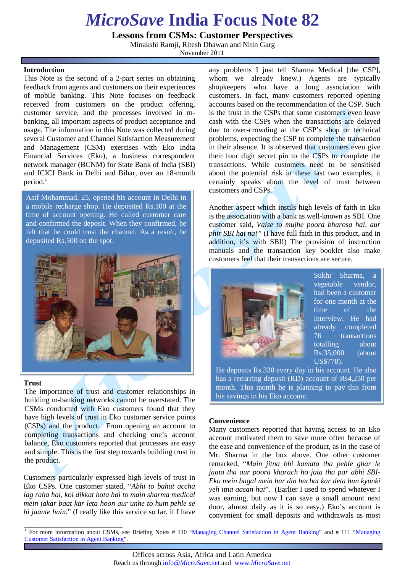# *MicroSave* **India Focus Note 82**

**Lessons from CSMs: Customer Perspectives**

Minakshi Ramji, Ritesh Dhawan and Nitin Garg

November 2011

### **Introduction**

This Note is the second of a 2-part series on obtaining feedback from agents and customers on their experiences of mobile banking. This Note focuses on feedback received from customers on the product offering, customer service, and the processes involved in mbanking, all important aspects of product acceptance and usage. The information in this Note was collected during several Customer and Channel Satisfaction Measurement and Management (CSM) exercises with Eko India Financial Services (Eko), a business correspondent network manager (BCNM) for State Bank of India (SBI) and ICICI Bank in Delhi and Bihar, over an 18-month  $period.$ <sup>1</sup>

Asif Mohammad, 25, opened his account in Delhi in a mobile recharge shop. He deposited Rs.100 at the time of account opening. He called customer care and confirmed the deposit. When they confirmed, he felt that he could trust the channel. As a result, he deposited Rs.500 on the spot.



### **Trust**

The importance of trust and customer relationships in building m-banking networks cannot be overstated. The CSMs conducted with Eko customers found that they have high levels of trust in Eko customer service points (CSPs) and the product. From opening an account to completing transactions and checking one's account balance, Eko customers reported that processes are easy and simple. This is the first step towards building trust in the product.

Customers particularly expressed high levels of trust in Eko CSPs. One customer stated, "*Abhi to bahut accha lag raha hai, koi dikkat hota hai to main sharma medical mein jakar baat kar leta hoon aur unhe to hum pehle se hi jaante hain.*" (I really like this service so far, if I have

\_\_\_\_\_\_\_\_\_\_\_\_\_\_\_\_\_\_\_\_\_\_\_\_\_\_\_\_\_\_\_\_

any problems I just tell Sharma Medical [the CSP], whom we already knew.) Agents are typically shopkeepers who have a long association with customers. In fact, many customers reported opening accounts based on the recommendation of the CSP. Such is the trust in the CSPs that some customers even leave cash with the CSPs when the transactions are delayed due to over-crowding at the CSP's shop or technical problems, expecting the CSP to complete the transaction in their absence. It is observed that customers even give their four digit secret pin to the CSPs to complete the transactions. While customers need to be sensitised about the potential risk in these last two examples, it certainly speaks about the level of trust between customers and CSPs.

Another aspect which instils high levels of faith in Eko is the association with a bank as well-known as SBI. One customer said, *Vaise to mujhe poora bharosa hai, aur phir SBI hai na!"* (I have full faith in this product, and in addition, it's with SBI!) The provision of instruction manuals and the transaction key booklet also make customers feel that their transactions are secure.



Sukhi Sharma, a vegetable vendor, had been a customer for one month at the time of the interview. He had already completed 76 transactions totalling about Rs.35,000 (about US\$778).

He deposits Rs.330 every day in his account. He also has a recurring deposit (RD) account of Rs4,250 per month. This month he is planning to pay this from his savings in his Eko account.

### **Convenience**

Many customers reported that having access to an Eko account motivated them to save more often because of the ease and convenience of the product, as in the case of Mr. Sharma in the box above. One other customer remarked, "*Main jitna bhi kamata tha pehle ghar le jaata tha aur poora kharach ho jata tha par abhi SBI-Eko mein bagal mein har din bachat kar deta hun kyunki yeh itna aasan hai*". (Earlier I used to spend whatever I was earning, but now I can save a small amount next door, almost daily as it is so easy.) Eko's account is convenient for small deposits and withdrawals as most

<sup>&</sup>lt;sup>1</sup> For more information about CSMs, see Briefing Notes # 110 ["Managing Channel Satisfaction in Agent Banking"](http://microsave.org/sites/files/technicalBriefs/briefingNotes/BN_110_Managing_Channel_Satisfaction_in_Agent_Banking.pdf) and # 111 "Managing [Customer Satisfaction in Agent Banking"](http://microsave.org/sites/files/technicalBriefs/briefingNotes/BN_111_Managing_Customer_Satisfaction_in_Agent_Banking.pdf).